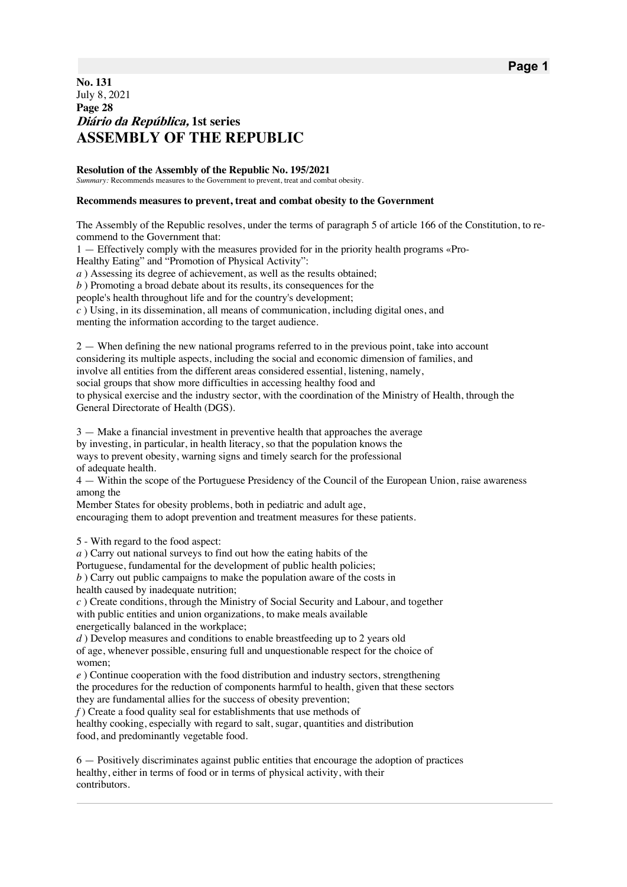## **No. 131** July 8, 2021 **Page 28 Diário da República, 1st series ASSEMBLY OF THE REPUBLIC**

**Resolution of the Assembly of the Republic No. 195/2021** *Summary:* Recommends measures to the Government to prevent, treat and combat obesity.

## **Recommends measures to prevent, treat and combat obesity to the Government**

The Assembly of the Republic resolves, under the terms of paragraph 5 of article 166 of the Constitution, to recommend to the Government that:

1 — Effectively comply with the measures provided for in the priority health programs «Pro-

Healthy Eating" and "Promotion of Physical Activity":

*a*) Assessing its degree of achievement, as well as the results obtained;

*b* ) Promoting a broad debate about its results, its consequences for the

people's health throughout life and for the country's development;

*c* ) Using, in its dissemination, all means of communication, including digital ones, and menting the information according to the target audience.

2 — When defining the new national programs referred to in the previous point, take into account considering its multiple aspects, including the social and economic dimension of families, and involve all entities from the different areas considered essential, listening, namely, social groups that show more difficulties in accessing healthy food and to physical exercise and the industry sector, with the coordination of the Ministry of Health, through the General Directorate of Health (DGS).

3 — Make a financial investment in preventive health that approaches the average by investing, in particular, in health literacy, so that the population knows the ways to prevent obesity, warning signs and timely search for the professional of adequate health.

4 — Within the scope of the Portuguese Presidency of the Council of the European Union, raise awareness among the

Member States for obesity problems, both in pediatric and adult age,

encouraging them to adopt prevention and treatment measures for these patients.

5 - With regard to the food aspect:

*a* ) Carry out national surveys to find out how the eating habits of the

Portuguese, fundamental for the development of public health policies;

*b* ) Carry out public campaigns to make the population aware of the costs in health caused by inadequate nutrition;

*c* ) Create conditions, through the Ministry of Social Security and Labour, and together with public entities and union organizations, to make meals available energetically balanced in the workplace;

*d*) Develop measures and conditions to enable breastfeeding up to 2 years old of age, whenever possible, ensuring full and unquestionable respect for the choice of women;

*e* ) Continue cooperation with the food distribution and industry sectors, strengthening the procedures for the reduction of components harmful to health, given that these sectors they are fundamental allies for the success of obesity prevention;

*f* ) Create a food quality seal for establishments that use methods of

healthy cooking, especially with regard to salt, sugar, quantities and distribution food, and predominantly vegetable food.

6 — Positively discriminates against public entities that encourage the adoption of practices healthy, either in terms of food or in terms of physical activity, with their contributors.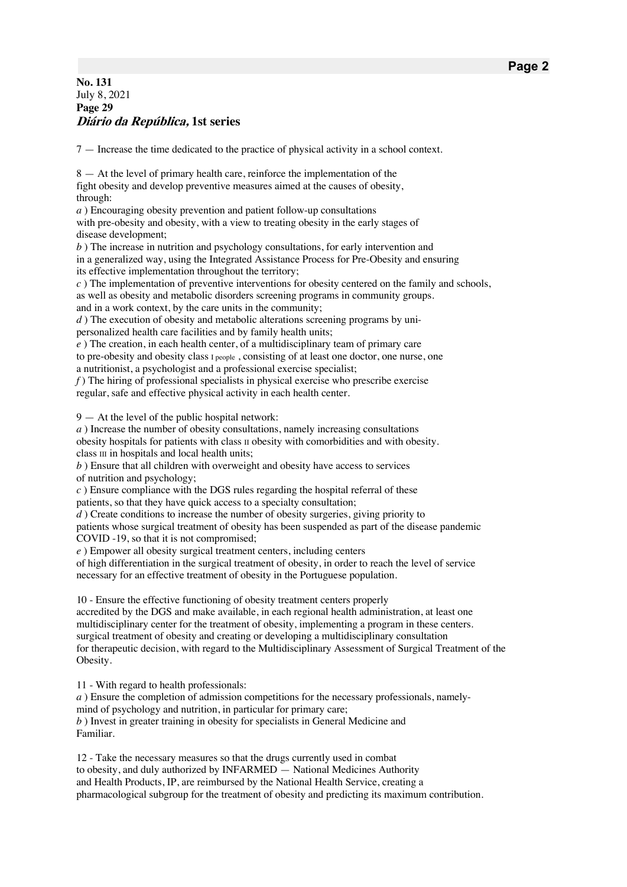## **No. 131** July 8, 2021 **Page 29 Diário da República, 1st series**

7 — Increase the time dedicated to the practice of physical activity in a school context.

8 — At the level of primary health care, reinforce the implementation of the fight obesity and develop preventive measures aimed at the causes of obesity, through:

*a* ) Encouraging obesity prevention and patient follow-up consultations with pre-obesity and obesity, with a view to treating obesity in the early stages of disease development;

*b*) The increase in nutrition and psychology consultations, for early intervention and in a generalized way, using the Integrated Assistance Process for Pre-Obesity and ensuring its effective implementation throughout the territory;

*c* ) The implementation of preventive interventions for obesity centered on the family and schools, as well as obesity and metabolic disorders screening programs in community groups. and in a work context, by the care units in the community;

*d*) The execution of obesity and metabolic alterations screening programs by unipersonalized health care facilities and by family health units;

*e* ) The creation, in each health center, of a multidisciplinary team of primary care to pre-obesity and obesity class I people , consisting of at least one doctor, one nurse, one a nutritionist, a psychologist and a professional exercise specialist;

*f* ) The hiring of professional specialists in physical exercise who prescribe exercise regular, safe and effective physical activity in each health center.

9 — At the level of the public hospital network:

*a* ) Increase the number of obesity consultations, namely increasing consultations obesity hospitals for patients with class II obesity with comorbidities and with obesity. class III in hospitals and local health units;

*b* ) Ensure that all children with overweight and obesity have access to services of nutrition and psychology;

*c* ) Ensure compliance with the DGS rules regarding the hospital referral of these patients, so that they have quick access to a specialty consultation;

*d*) Create conditions to increase the number of obesity surgeries, giving priority to patients whose surgical treatment of obesity has been suspended as part of the disease pandemic COVID -19, so that it is not compromised;

*e* ) Empower all obesity surgical treatment centers, including centers

of high differentiation in the surgical treatment of obesity, in order to reach the level of service necessary for an effective treatment of obesity in the Portuguese population.

10 - Ensure the effective functioning of obesity treatment centers properly

accredited by the DGS and make available, in each regional health administration, at least one multidisciplinary center for the treatment of obesity, implementing a program in these centers. surgical treatment of obesity and creating or developing a multidisciplinary consultation for therapeutic decision, with regard to the Multidisciplinary Assessment of Surgical Treatment of the Obesity.

11 - With regard to health professionals:

*a*) Ensure the completion of admission competitions for the necessary professionals, namelymind of psychology and nutrition, in particular for primary care; *b* ) Invest in greater training in obesity for specialists in General Medicine and Familiar.

12 - Take the necessary measures so that the drugs currently used in combat to obesity, and duly authorized by INFARMED — National Medicines Authority and Health Products, IP, are reimbursed by the National Health Service, creating a pharmacological subgroup for the treatment of obesity and predicting its maximum contribution.